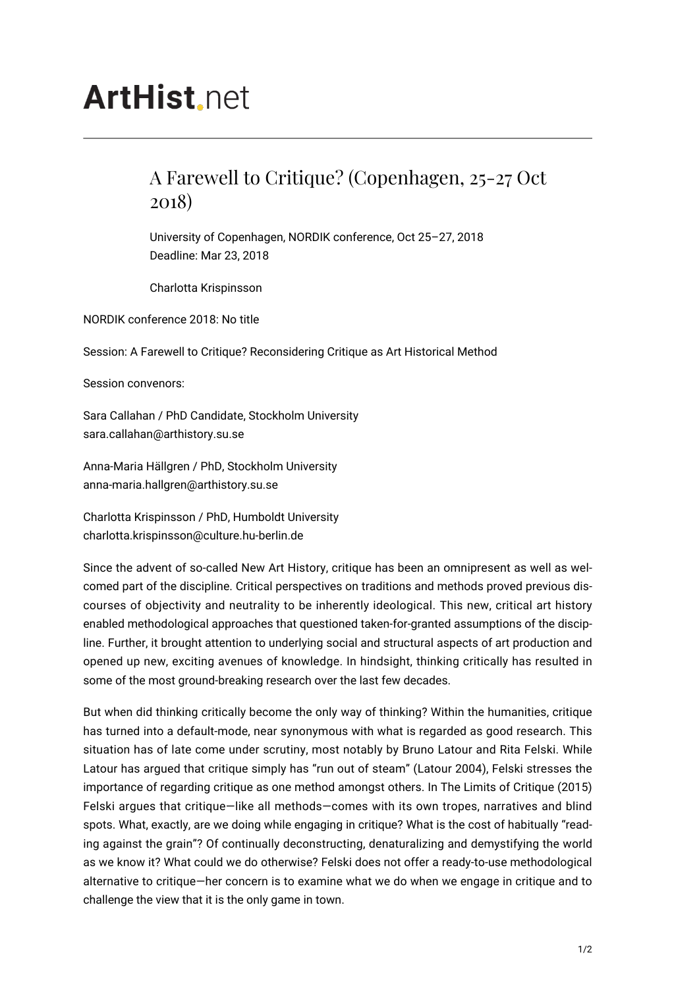## **ArtHist**, net

## A Farewell to Critique? (Copenhagen, 25-27 Oct 2018)

University of Copenhagen, NORDIK conference, Oct 25–27, 2018 Deadline: Mar 23, 2018

Charlotta Krispinsson

NORDIK conference 2018: No title

Session: A Farewell to Critique? Reconsidering Critique as Art Historical Method

Session convenors:

Sara Callahan / PhD Candidate, Stockholm University sara.callahan@arthistory.su.se

Anna-Maria Hällgren / PhD, Stockholm University anna-maria.hallgren@arthistory.su.se

Charlotta Krispinsson / PhD, Humboldt University charlotta.krispinsson@culture.hu-berlin.de

Since the advent of so-called New Art History, critique has been an omnipresent as well as welcomed part of the discipline. Critical perspectives on traditions and methods proved previous discourses of objectivity and neutrality to be inherently ideological. This new, critical art history enabled methodological approaches that questioned taken-for-granted assumptions of the discipline. Further, it brought attention to underlying social and structural aspects of art production and opened up new, exciting avenues of knowledge. In hindsight, thinking critically has resulted in some of the most ground-breaking research over the last few decades.

But when did thinking critically become the only way of thinking? Within the humanities, critique has turned into a default-mode, near synonymous with what is regarded as good research. This situation has of late come under scrutiny, most notably by Bruno Latour and Rita Felski. While Latour has argued that critique simply has "run out of steam" (Latour 2004), Felski stresses the importance of regarding critique as one method amongst others. In The Limits of Critique (2015) Felski argues that critique—like all methods—comes with its own tropes, narratives and blind spots. What, exactly, are we doing while engaging in critique? What is the cost of habitually "reading against the grain"? Of continually deconstructing, denaturalizing and demystifying the world as we know it? What could we do otherwise? Felski does not offer a ready-to-use methodological alternative to critique—her concern is to examine what we do when we engage in critique and to challenge the view that it is the only game in town.